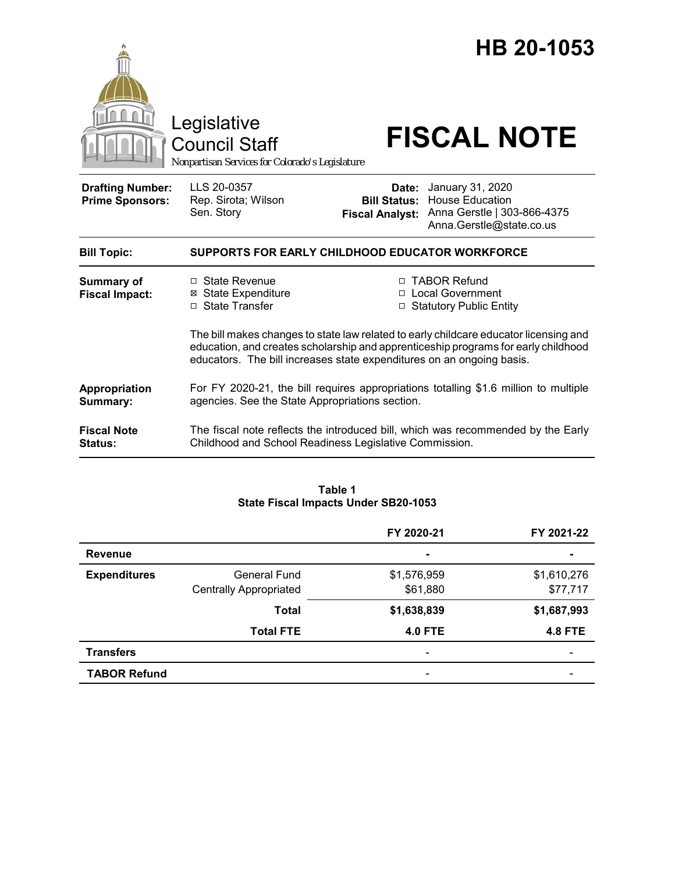|                                                   | Legislative<br><b>Council Staff</b><br>Nonpartisan Services for Colorado's Legislature                                                                      |                                                        | HB 20-1053<br><b>FISCAL NOTE</b>                                                                                                                           |
|---------------------------------------------------|-------------------------------------------------------------------------------------------------------------------------------------------------------------|--------------------------------------------------------|------------------------------------------------------------------------------------------------------------------------------------------------------------|
| <b>Drafting Number:</b><br><b>Prime Sponsors:</b> | LLS 20-0357<br>Rep. Sirota; Wilson<br>Sen. Story                                                                                                            | Date:<br><b>Bill Status:</b><br><b>Fiscal Analyst:</b> | January 31, 2020<br><b>House Education</b><br>Anna Gerstle   303-866-4375<br>Anna.Gerstle@state.co.us                                                      |
| <b>Bill Topic:</b>                                | SUPPORTS FOR EARLY CHILDHOOD EDUCATOR WORKFORCE                                                                                                             |                                                        |                                                                                                                                                            |
| <b>Summary of</b><br><b>Fiscal Impact:</b>        | $\Box$ State Revenue<br><b>⊠ State Expenditure</b><br>□ State Transfer                                                                                      |                                                        | □ TABOR Refund<br>□ Local Government<br>□ Statutory Public Entity<br>The bill makes changes to state law related to early childcare educator licensing and |
|                                                   | education, and creates scholarship and apprenticeship programs for early childhood<br>educators. The bill increases state expenditures on an ongoing basis. |                                                        |                                                                                                                                                            |
| Appropriation<br>Summary:                         | For FY 2020-21, the bill requires appropriations totalling \$1.6 million to multiple<br>agencies. See the State Appropriations section.                     |                                                        |                                                                                                                                                            |
| <b>Fiscal Note</b><br><b>Status:</b>              | The fiscal note reflects the introduced bill, which was recommended by the Early<br>Childhood and School Readiness Legislative Commission.                  |                                                        |                                                                                                                                                            |

### **Table 1 State Fiscal Impacts Under SB20-1053**

|                     |                               | FY 2020-21               | FY 2021-22     |
|---------------------|-------------------------------|--------------------------|----------------|
| <b>Revenue</b>      |                               | $\blacksquare$           | $\blacksquare$ |
| <b>Expenditures</b> | General Fund                  | \$1,576,959              | \$1,610,276    |
|                     | <b>Centrally Appropriated</b> | \$61,880                 | \$77,717       |
|                     | <b>Total</b>                  | \$1,638,839              | \$1,687,993    |
|                     | <b>Total FTE</b>              | <b>4.0 FTE</b>           | <b>4.8 FTE</b> |
| <b>Transfers</b>    |                               | $\overline{\phantom{a}}$ |                |
| <b>TABOR Refund</b> |                               | $\overline{\phantom{0}}$ |                |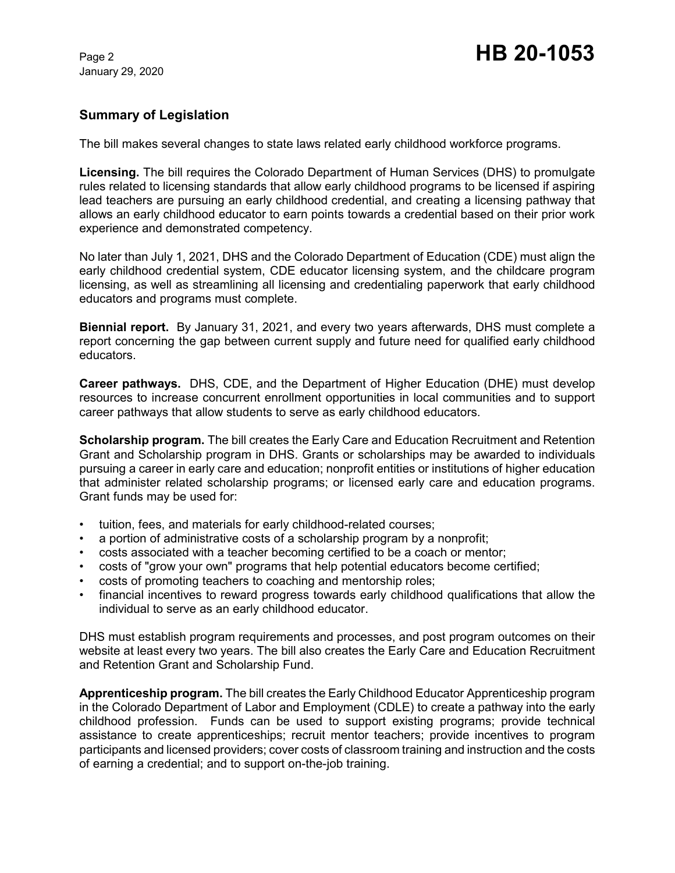# **Summary of Legislation**

The bill makes several changes to state laws related early childhood workforce programs.

**Licensing.** The bill requires the Colorado Department of Human Services (DHS) to promulgate rules related to licensing standards that allow early childhood programs to be licensed if aspiring lead teachers are pursuing an early childhood credential, and creating a licensing pathway that allows an early childhood educator to earn points towards a credential based on their prior work experience and demonstrated competency.

No later than July 1, 2021, DHS and the Colorado Department of Education (CDE) must align the early childhood credential system, CDE educator licensing system, and the childcare program licensing, as well as streamlining all licensing and credentialing paperwork that early childhood educators and programs must complete.

**Biennial report.** By January 31, 2021, and every two years afterwards, DHS must complete a report concerning the gap between current supply and future need for qualified early childhood educators.

**Career pathways.** DHS, CDE, and the Department of Higher Education (DHE) must develop resources to increase concurrent enrollment opportunities in local communities and to support career pathways that allow students to serve as early childhood educators.

**Scholarship program.** The bill creates the Early Care and Education Recruitment and Retention Grant and Scholarship program in DHS. Grants or scholarships may be awarded to individuals pursuing a career in early care and education; nonprofit entities or institutions of higher education that administer related scholarship programs; or licensed early care and education programs. Grant funds may be used for:

- tuition, fees, and materials for early childhood-related courses;
- a portion of administrative costs of a scholarship program by a nonprofit;
- costs associated with a teacher becoming certified to be a coach or mentor;
- costs of "grow your own" programs that help potential educators become certified;
- costs of promoting teachers to coaching and mentorship roles;
- financial incentives to reward progress towards early childhood qualifications that allow the individual to serve as an early childhood educator.

DHS must establish program requirements and processes, and post program outcomes on their website at least every two years. The bill also creates the Early Care and Education Recruitment and Retention Grant and Scholarship Fund.

**Apprenticeship program.** The bill creates the Early Childhood Educator Apprenticeship program in the Colorado Department of Labor and Employment (CDLE) to create a pathway into the early childhood profession. Funds can be used to support existing programs; provide technical assistance to create apprenticeships; recruit mentor teachers; provide incentives to program participants and licensed providers; cover costs of classroom training and instruction and the costs of earning a credential; and to support on-the-job training.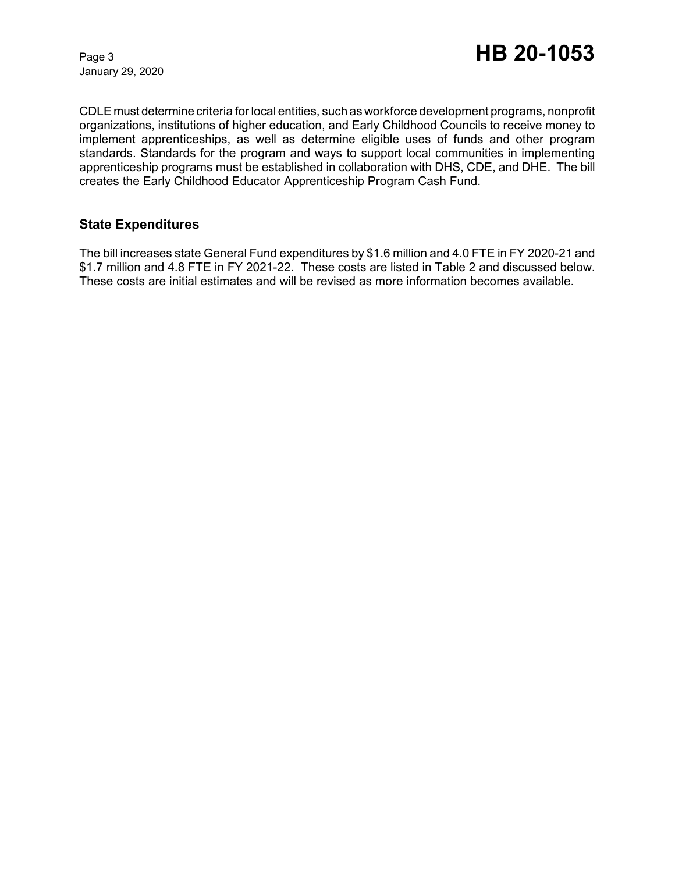CDLE must determine criteria for local entities, such as workforce development programs, nonprofit organizations, institutions of higher education, and Early Childhood Councils to receive money to implement apprenticeships, as well as determine eligible uses of funds and other program standards. Standards for the program and ways to support local communities in implementing apprenticeship programs must be established in collaboration with DHS, CDE, and DHE. The bill creates the Early Childhood Educator Apprenticeship Program Cash Fund.

## **State Expenditures**

The bill increases state General Fund expenditures by \$1.6 million and 4.0 FTE in FY 2020-21 and \$1.7 million and 4.8 FTE in FY 2021-22. These costs are listed in Table 2 and discussed below. These costs are initial estimates and will be revised as more information becomes available.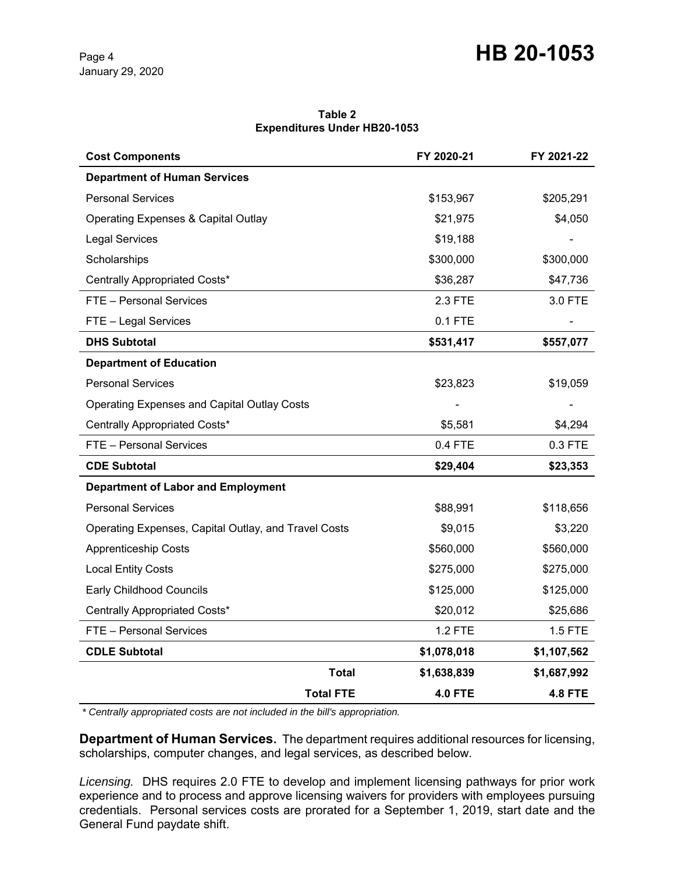# Page 4 **HB 20-1053**

#### **Table 2 Expenditures Under HB20-1053**

| <b>Cost Components</b>                               | FY 2020-21     | FY 2021-22     |
|------------------------------------------------------|----------------|----------------|
| <b>Department of Human Services</b>                  |                |                |
| <b>Personal Services</b>                             | \$153,967      | \$205,291      |
| <b>Operating Expenses &amp; Capital Outlay</b>       | \$21,975       | \$4,050        |
| <b>Legal Services</b>                                | \$19,188       |                |
| Scholarships                                         | \$300,000      | \$300,000      |
| Centrally Appropriated Costs*                        | \$36,287       | \$47,736       |
| FTE - Personal Services                              | 2.3 FTE        | 3.0 FTE        |
| FTE - Legal Services                                 | $0.1$ FTE      |                |
| <b>DHS Subtotal</b>                                  | \$531,417      | \$557,077      |
| <b>Department of Education</b>                       |                |                |
| <b>Personal Services</b>                             | \$23,823       | \$19,059       |
| <b>Operating Expenses and Capital Outlay Costs</b>   |                |                |
| Centrally Appropriated Costs*                        | \$5,581        | \$4,294        |
| FTE - Personal Services                              | 0.4 FTE        | 0.3 FTE        |
| <b>CDE Subtotal</b>                                  | \$29,404       | \$23,353       |
| <b>Department of Labor and Employment</b>            |                |                |
| <b>Personal Services</b>                             | \$88,991       | \$118,656      |
| Operating Expenses, Capital Outlay, and Travel Costs | \$9,015        | \$3,220        |
| <b>Apprenticeship Costs</b>                          | \$560,000      | \$560,000      |
| <b>Local Entity Costs</b>                            | \$275,000      | \$275,000      |
| <b>Early Childhood Councils</b>                      | \$125,000      | \$125,000      |
| Centrally Appropriated Costs*                        | \$20,012       | \$25,686       |
| FTE - Personal Services                              | <b>1.2 FTE</b> | 1.5 FTE        |
| <b>CDLE Subtotal</b>                                 | \$1,078,018    | \$1,107,562    |
| <b>Total</b>                                         | \$1,638,839    | \$1,687,992    |
| <b>Total FTE</b>                                     | <b>4.0 FTE</b> | <b>4.8 FTE</b> |

 *\* Centrally appropriated costs are not included in the bill's appropriation.*

**Department of Human Services.** The department requires additional resources for licensing, scholarships, computer changes, and legal services, as described below.

*Licensing.* DHS requires 2.0 FTE to develop and implement licensing pathways for prior work experience and to process and approve licensing waivers for providers with employees pursuing credentials. Personal services costs are prorated for a September 1, 2019, start date and the General Fund paydate shift.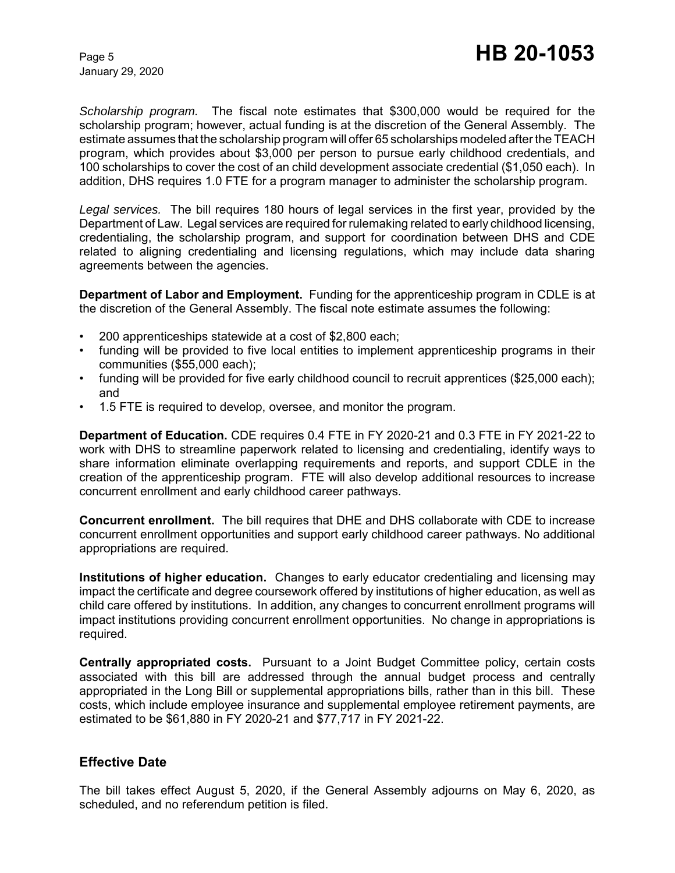*Scholarship program.* The fiscal note estimates that \$300,000 would be required for the scholarship program; however, actual funding is at the discretion of the General Assembly. The estimate assumes that the scholarship program will offer 65 scholarships modeled after the TEACH program, which provides about \$3,000 per person to pursue early childhood credentials, and 100 scholarships to cover the cost of an child development associate credential (\$1,050 each). In addition, DHS requires 1.0 FTE for a program manager to administer the scholarship program.

*Legal services.* The bill requires 180 hours of legal services in the first year, provided by the Department of Law. Legal services are required for rulemaking related to early childhood licensing, credentialing, the scholarship program, and support for coordination between DHS and CDE related to aligning credentialing and licensing regulations, which may include data sharing agreements between the agencies.

**Department of Labor and Employment.** Funding for the apprenticeship program in CDLE is at the discretion of the General Assembly. The fiscal note estimate assumes the following:

- 200 apprenticeships statewide at a cost of \$2,800 each;
- funding will be provided to five local entities to implement apprenticeship programs in their communities (\$55,000 each);
- funding will be provided for five early childhood council to recruit apprentices (\$25,000 each); and
- 1.5 FTE is required to develop, oversee, and monitor the program.

**Department of Education.** CDE requires 0.4 FTE in FY 2020-21 and 0.3 FTE in FY 2021-22 to work with DHS to streamline paperwork related to licensing and credentialing, identify ways to share information eliminate overlapping requirements and reports, and support CDLE in the creation of the apprenticeship program. FTE will also develop additional resources to increase concurrent enrollment and early childhood career pathways.

**Concurrent enrollment.** The bill requires that DHE and DHS collaborate with CDE to increase concurrent enrollment opportunities and support early childhood career pathways. No additional appropriations are required.

**Institutions of higher education.** Changes to early educator credentialing and licensing may impact the certificate and degree coursework offered by institutions of higher education, as well as child care offered by institutions. In addition, any changes to concurrent enrollment programs will impact institutions providing concurrent enrollment opportunities. No change in appropriations is required.

**Centrally appropriated costs.** Pursuant to a Joint Budget Committee policy, certain costs associated with this bill are addressed through the annual budget process and centrally appropriated in the Long Bill or supplemental appropriations bills, rather than in this bill. These costs, which include employee insurance and supplemental employee retirement payments, are estimated to be \$61,880 in FY 2020-21 and \$77,717 in FY 2021-22.

## **Effective Date**

The bill takes effect August 5, 2020, if the General Assembly adjourns on May 6, 2020, as scheduled, and no referendum petition is filed.